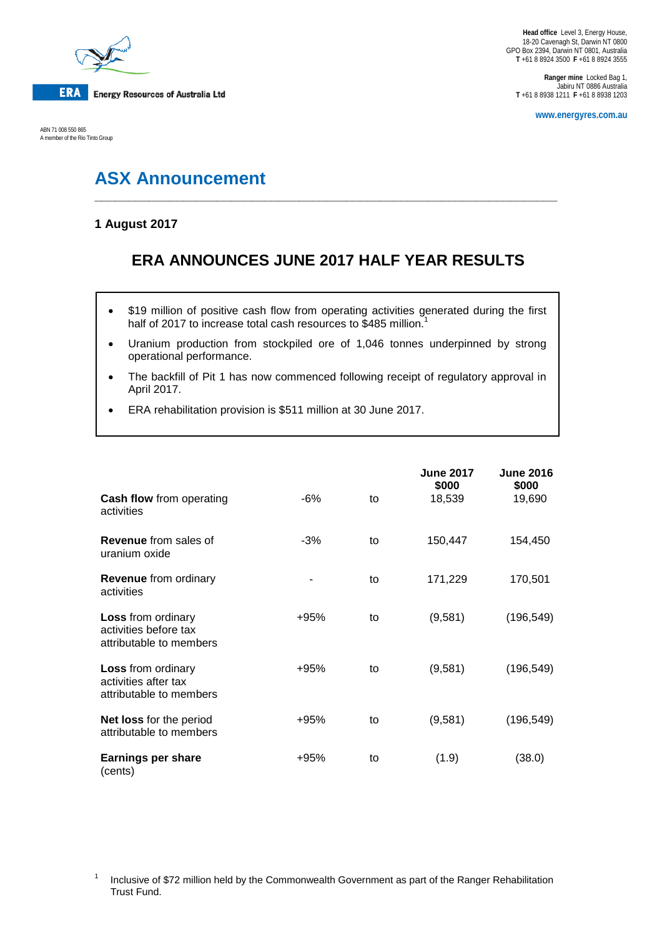

ABN 71 008 550 865 A member of the Rio Tinto Group

**Ranger mine** Locked Bag 1, Jabiru NT 0886 Australia **T** +61 8 8938 1211 **F** +61 8 8938 1203

**www.energyres.com.au**

# **ASX Announcement**

## **1 August 2017**

## **ERA ANNOUNCES JUNE 2017 HALF YEAR RESULTS**

**\_\_\_\_\_\_\_\_\_\_\_\_\_\_\_\_\_\_\_\_\_\_\_\_\_\_\_\_\_\_\_\_\_\_\_\_\_\_\_\_\_\_\_\_\_\_\_\_\_\_\_\_\_\_\_\_\_\_\_\_\_\_\_\_\_\_\_\_**

- \$19 million of positive cash flow from operating activities generated during the first half of 2017 to increase total cash resources to \$485 million. $^{\text{1}}$
- Uranium production from stockpiled ore of 1,046 tonnes underpinned by strong operational performance.
- The backfill of Pit 1 has now commenced following receipt of regulatory approval in April 2017.
- ERA rehabilitation provision is \$511 million at 30 June 2017.

| <b>Cash flow from operating</b><br>activities                                 | -6%    | to | <b>June 2017</b><br>\$000<br>18,539 | <b>June 2016</b><br>\$000<br>19,690 |
|-------------------------------------------------------------------------------|--------|----|-------------------------------------|-------------------------------------|
| <b>Revenue</b> from sales of<br>uranium oxide                                 | $-3%$  | to | 150,447                             | 154,450                             |
| <b>Revenue</b> from ordinary<br>activities                                    |        | to | 171,229                             | 170,501                             |
| <b>Loss</b> from ordinary<br>activities before tax<br>attributable to members | $+95%$ | to | (9,581)                             | (196, 549)                          |
| <b>Loss</b> from ordinary<br>activities after tax<br>attributable to members  | $+95%$ | to | (9,581)                             | (196, 549)                          |
| <b>Net loss for the period</b><br>attributable to members                     | $+95%$ | to | (9,581)                             | (196, 549)                          |
| <b>Earnings per share</b><br>(cents)                                          | $+95%$ | to | (1.9)                               | (38.0)                              |

<sup>1</sup> Inclusive of \$72 million held by the Commonwealth Government as part of the Ranger Rehabilitation Trust Fund.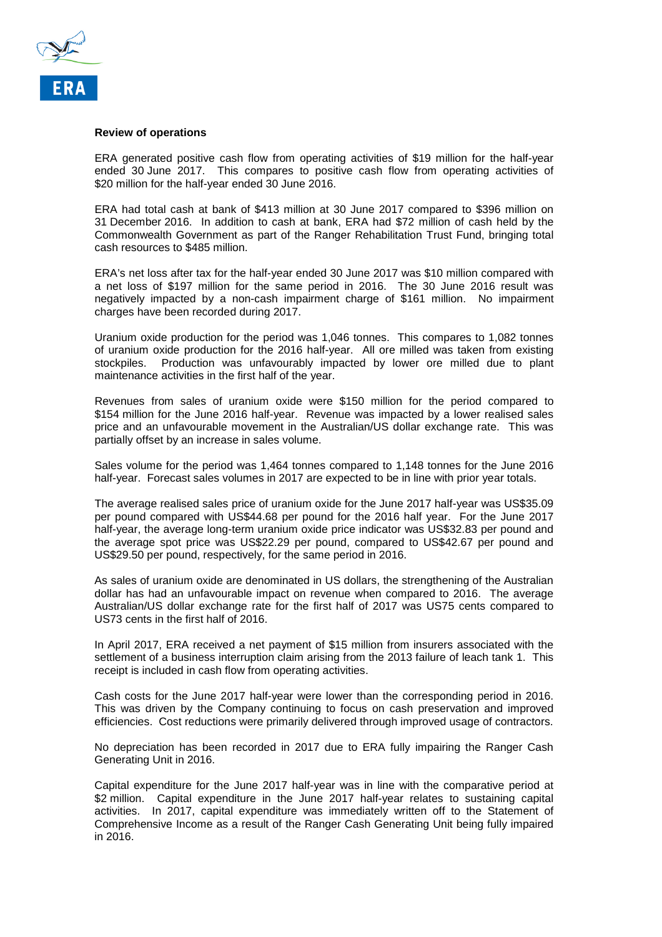

#### **Review of operations**

ERA generated positive cash flow from operating activities of \$19 million for the half-year ended 30 June 2017. This compares to positive cash flow from operating activities of \$20 million for the half-year ended 30 June 2016.

ERA had total cash at bank of \$413 million at 30 June 2017 compared to \$396 million on 31 December 2016. In addition to cash at bank, ERA had \$72 million of cash held by the Commonwealth Government as part of the Ranger Rehabilitation Trust Fund, bringing total cash resources to \$485 million.

ERA's net loss after tax for the half-year ended 30 June 2017 was \$10 million compared with a net loss of \$197 million for the same period in 2016. The 30 June 2016 result was negatively impacted by a non-cash impairment charge of \$161 million. No impairment charges have been recorded during 2017.

Uranium oxide production for the period was 1,046 tonnes. This compares to 1,082 tonnes of uranium oxide production for the 2016 half-year. All ore milled was taken from existing stockpiles. Production was unfavourably impacted by lower ore milled due to plant maintenance activities in the first half of the year.

Revenues from sales of uranium oxide were \$150 million for the period compared to \$154 million for the June 2016 half-year. Revenue was impacted by a lower realised sales price and an unfavourable movement in the Australian/US dollar exchange rate. This was partially offset by an increase in sales volume.

Sales volume for the period was 1,464 tonnes compared to 1,148 tonnes for the June 2016 half-year. Forecast sales volumes in 2017 are expected to be in line with prior year totals.

The average realised sales price of uranium oxide for the June 2017 half-year was US\$35.09 per pound compared with US\$44.68 per pound for the 2016 half year. For the June 2017 half-year, the average long-term uranium oxide price indicator was US\$32.83 per pound and the average spot price was US\$22.29 per pound, compared to US\$42.67 per pound and US\$29.50 per pound, respectively, for the same period in 2016.

As sales of uranium oxide are denominated in US dollars, the strengthening of the Australian dollar has had an unfavourable impact on revenue when compared to 2016. The average Australian/US dollar exchange rate for the first half of 2017 was US75 cents compared to US73 cents in the first half of 2016.

In April 2017, ERA received a net payment of \$15 million from insurers associated with the settlement of a business interruption claim arising from the 2013 failure of leach tank 1. This receipt is included in cash flow from operating activities.

Cash costs for the June 2017 half-year were lower than the corresponding period in 2016. This was driven by the Company continuing to focus on cash preservation and improved efficiencies. Cost reductions were primarily delivered through improved usage of contractors.

No depreciation has been recorded in 2017 due to ERA fully impairing the Ranger Cash Generating Unit in 2016.

Capital expenditure for the June 2017 half-year was in line with the comparative period at \$2 million. Capital expenditure in the June 2017 half-year relates to sustaining capital activities. In 2017, capital expenditure was immediately written off to the Statement of Comprehensive Income as a result of the Ranger Cash Generating Unit being fully impaired in 2016.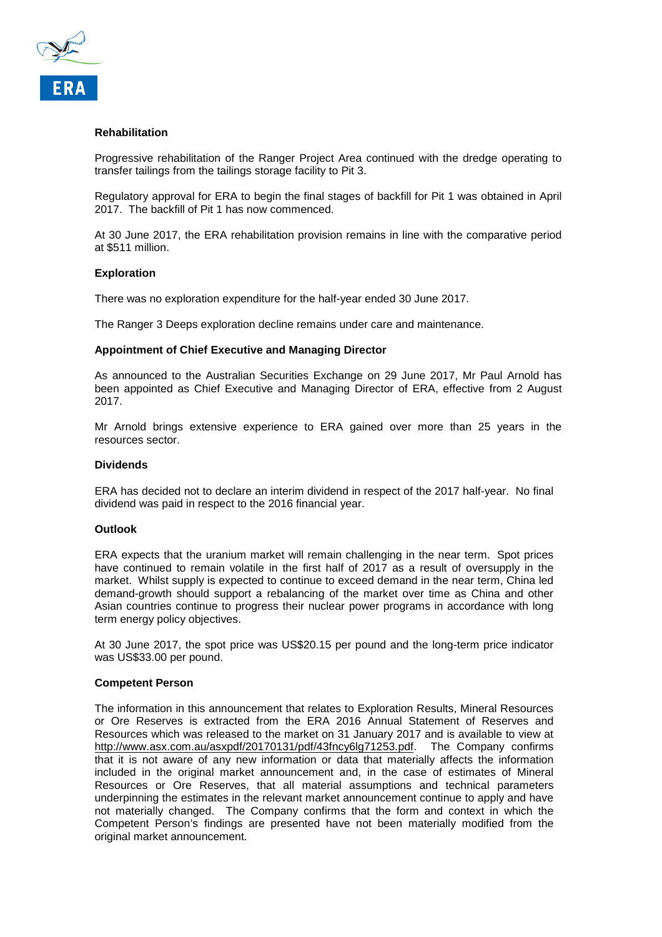

#### **Rehabilitation**

Progressive rehabilitation of the Ranger Project Area continued with the dredge operating to transfer tailings from the tailings storage facility to Pit 3.

Regulatory approval for ERA to begin the final stages of backfill for Pit 1 was obtained in April 2017. The backfill of Pit 1 has now commenced.

At 30 June 2017, the ERA rehabilitation provision remains in line with the comparative period at \$511 million.

#### **Exploration**

There was no exploration expenditure for the half-year ended 30 June 2017.

The Ranger 3 Deeps exploration decline remains under care and maintenance.

#### **Appointment of Chief Executive and Managing Director**

As announced to the Australian Securities Exchange on 29 June 2017, Mr Paul Arnold has been appointed as Chief Executive and Managing Director of ERA, effective from 2 August 2017.

Mr Arnold brings extensive experience to ERA gained over more than 25 years in the resources sector.

#### **Dividends**

ERA has decided not to declare an interim dividend in respect of the 2017 half-year. No final dividend was paid in respect to the 2016 financial year.

#### **Outlook**

ERA expects that the uranium market will remain challenging in the near term. Spot prices have continued to remain volatile in the first half of 2017 as a result of oversupply in the market. Whilst supply is expected to continue to exceed demand in the near term, China led demand-growth should support a rebalancing of the market over time as China and other Asian countries continue to progress their nuclear power programs in accordance with long term energy policy objectives.

At 30 June 2017, the spot price was US\$20.15 per pound and the long-term price indicator was US\$33.00 per pound.

#### **Competent Person**

The information in this announcement that relates to Exploration Results, Mineral Resources or Ore Reserves is extracted from the ERA 2016 Annual Statement of Reserves and Resources which was released to the market on 31 January 2017 and is available to view at http://www.asx.com.au/asxpdf/20170131/pdf/43fncy6lg71253.pdf. The Company confirms that it is not aware of any new information or data that materially affects the information included in the original market announcement and, in the case of estimates of Mineral Resources or Ore Reserves, that all material assumptions and technical parameters underpinning the estimates in the relevant market announcement continue to apply and have not materially changed. The Company confirms that the form and context in which the Competent Person's findings are presented have not been materially modified from the original market announcement.